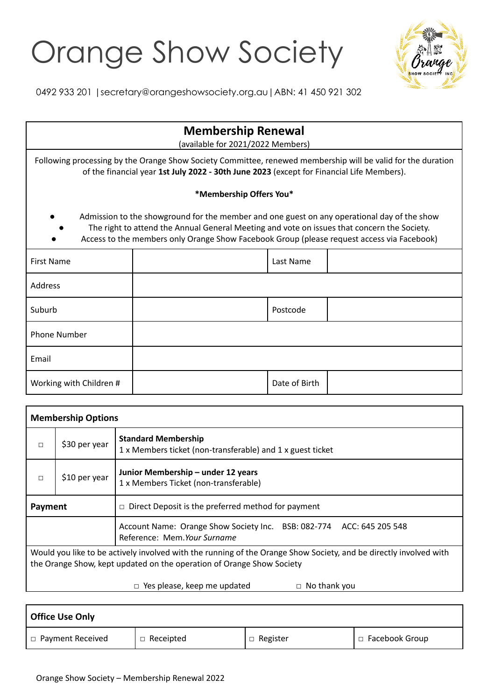## Orange Show Society



0492 933 201 |secretary@orangeshowsociety.org.au|ABN: 41 450 921 302

| <b>Membership Renewal</b><br>(available for 2021/2022 Members)                                                                                                                                                                                                                           |  |               |  |  |  |  |  |
|------------------------------------------------------------------------------------------------------------------------------------------------------------------------------------------------------------------------------------------------------------------------------------------|--|---------------|--|--|--|--|--|
| Following processing by the Orange Show Society Committee, renewed membership will be valid for the duration<br>of the financial year 1st July 2022 - 30th June 2023 (except for Financial Life Members).                                                                                |  |               |  |  |  |  |  |
| *Membership Offers You*                                                                                                                                                                                                                                                                  |  |               |  |  |  |  |  |
| Admission to the showground for the member and one guest on any operational day of the show<br>The right to attend the Annual General Meeting and vote on issues that concern the Society.<br>Access to the members only Orange Show Facebook Group (please request access via Facebook) |  |               |  |  |  |  |  |
| First Name                                                                                                                                                                                                                                                                               |  | Last Name     |  |  |  |  |  |
| Address                                                                                                                                                                                                                                                                                  |  |               |  |  |  |  |  |
| Suburb                                                                                                                                                                                                                                                                                   |  | Postcode      |  |  |  |  |  |
| <b>Phone Number</b>                                                                                                                                                                                                                                                                      |  |               |  |  |  |  |  |
| Email                                                                                                                                                                                                                                                                                    |  |               |  |  |  |  |  |
| Working with Children #                                                                                                                                                                                                                                                                  |  | Date of Birth |  |  |  |  |  |

| <b>Membership Options</b>                                                                                                                                                                  |                                                                      |                                                                                                      |  |  |  |
|--------------------------------------------------------------------------------------------------------------------------------------------------------------------------------------------|----------------------------------------------------------------------|------------------------------------------------------------------------------------------------------|--|--|--|
| $\Box$                                                                                                                                                                                     | \$30 per year                                                        | <b>Standard Membership</b><br>1 x Members ticket (non-transferable) and 1 x guest ticket             |  |  |  |
| $\Box$                                                                                                                                                                                     | \$10 per year                                                        | Junior Membership - under 12 years<br>1 x Members Ticket (non-transferable)                          |  |  |  |
|                                                                                                                                                                                            | $\Box$ Direct Deposit is the preferred method for payment<br>Payment |                                                                                                      |  |  |  |
|                                                                                                                                                                                            |                                                                      | Account Name: Orange Show Society Inc. BSB: 082-774 ACC: 645 205 548<br>Reference: Mem. Your Surname |  |  |  |
| Would you like to be actively involved with the running of the Orange Show Society, and be directly involved with<br>the Orange Show, kept updated on the operation of Orange Show Society |                                                                      |                                                                                                      |  |  |  |
| Yes please, keep me updated<br>No thank you<br>$\Box$                                                                                                                                      |                                                                      |                                                                                                      |  |  |  |

| <b>Office Use Only</b>  |                  |                    |                  |  |  |  |  |
|-------------------------|------------------|--------------------|------------------|--|--|--|--|
| $\Box$ Payment Received | $\Box$ Receipted | Register<br>$\Box$ | □ Facebook Group |  |  |  |  |